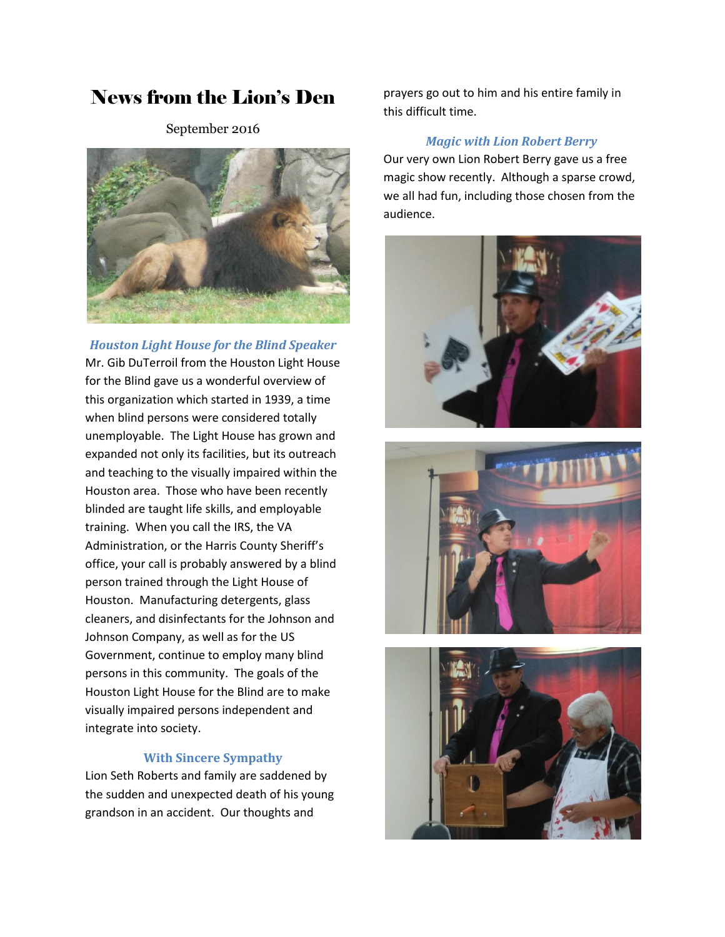# News from the Lion's Den

September 2016



*Houston Light House for the Blind Speaker* Mr. Gib DuTerroil from the Houston Light House for the Blind gave us a wonderful overview of this organization which started in 1939, a time when blind persons were considered totally unemployable. The Light House has grown and expanded not only its facilities, but its outreach and teaching to the visually impaired within the Houston area. Those who have been recently blinded are taught life skills, and employable training. When you call the IRS, the VA Administration, or the Harris County Sheriff's office, your call is probably answered by a blind person trained through the Light House of Houston. Manufacturing detergents, glass cleaners, and disinfectants for the Johnson and Johnson Company, as well as for the US Government, continue to employ many blind persons in this community. The goals of the Houston Light House for the Blind are to make visually impaired persons independent and integrate into society.

## **With Sincere Sympathy**

Lion Seth Roberts and family are saddened by the sudden and unexpected death of his young grandson in an accident. Our thoughts and

prayers go out to him and his entire family in this difficult time.

### *Magic with Lion Robert Berry*

Our very own Lion Robert Berry gave us a free magic show recently. Although a sparse crowd, we all had fun, including those chosen from the audience.





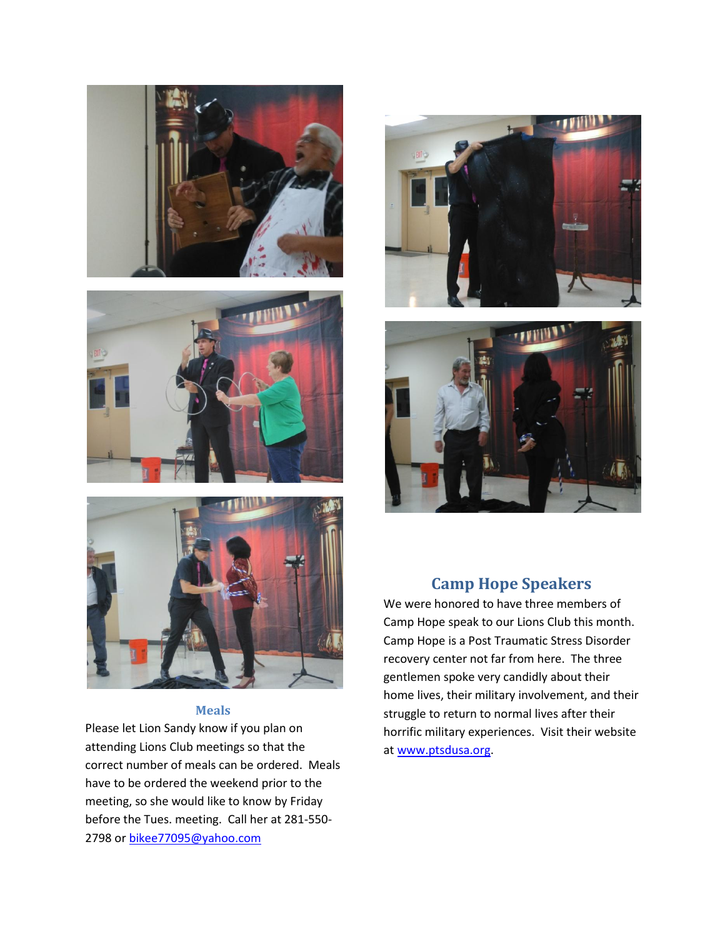





### **Meals**

Please let Lion Sandy know if you plan on attending Lions Club meetings so that the correct number of meals can be ordered. Meals have to be ordered the weekend prior to the meeting, so she would like to know by Friday before the Tues. meeting. Call her at 281-550 2798 or [bikee77095@yahoo.com](mailto:bikee77095@yahoo.com)





# **Camp Hope Speakers**

We were honored to have three members of Camp Hope speak to our Lions Club this month. Camp Hope is a Post Traumatic Stress Disorder recovery center not far from here. The three gentlemen spoke very candidly about their home lives, their military involvement, and their struggle to return to normal lives after their horrific military experiences. Visit their website a[t www.ptsdusa.org.](http://www.ptsdusa.org/)